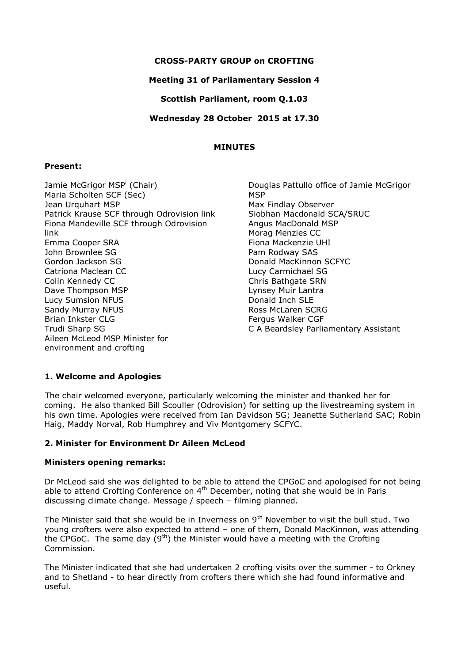# **CROSS-PARTY GROUP on CROFTING**

# **Meeting 31 of Parliamentary Session 4**

**Scottish Parliament, room Q.1.03**

**Wednesday 28 October 2015 at 17.30**

## **MINUTES**

## **Present:**

Jamie McGrigor MSP<sup>i</sup> (Chair) Maria Scholten SCF (Sec) Jean Urquhart MSP Patrick Krause SCF through Odrovision link Fiona Mandeville SCF through Odrovision link Emma Cooper SRA John Brownlee SG Gordon Jackson SG Catriona Maclean CC Colin Kennedy CC Dave Thompson MSP Lucy Sumsion NFUS Sandy Murray NFUS Brian Inkster CLG Trudi Sharp SG Aileen McLeod MSP Minister for environment and crofting

Douglas Pattullo office of Jamie McGrigor **MSP** Max Findlay Observer Siobhan Macdonald SCA/SRUC Angus MacDonald MSP Morag Menzies CC Fiona Mackenzie UHI Pam Rodway SAS Donald MacKinnon SCFYC Lucy Carmichael SG Chris Bathgate SRN Lynsey Muir Lantra Donald Inch SLE Ross McLaren SCRG Fergus Walker CGF C A Beardsley Parliamentary Assistant

# **1. Welcome and Apologies**

The chair welcomed everyone, particularly welcoming the minister and thanked her for coming. He also thanked Bill Scouller (Odrovision) for setting up the livestreaming system in his own time. Apologies were received from Ian Davidson SG; Jeanette Sutherland SAC; Robin Haig, Maddy Norval, Rob Humphrey and Viv Montgomery SCFYC.

### **2. Minister for Environment Dr Aileen McLeod**

### **Ministers opening remarks:**

Dr McLeod said she was delighted to be able to attend the CPGoC and apologised for not being able to attend Crofting Conference on  $4<sup>th</sup>$  December, noting that she would be in Paris discussing climate change. Message / speech – filming planned.

The Minister said that she would be in Inverness on  $9<sup>th</sup>$  November to visit the bull stud. Two young crofters were also expected to attend – one of them, Donald MacKinnon, was attending the CPGoC. The same day  $(9<sup>th</sup>)$  the Minister would have a meeting with the Crofting Commission.

The Minister indicated that she had undertaken 2 crofting visits over the summer - to Orkney and to Shetland - to hear directly from crofters there which she had found informative and useful.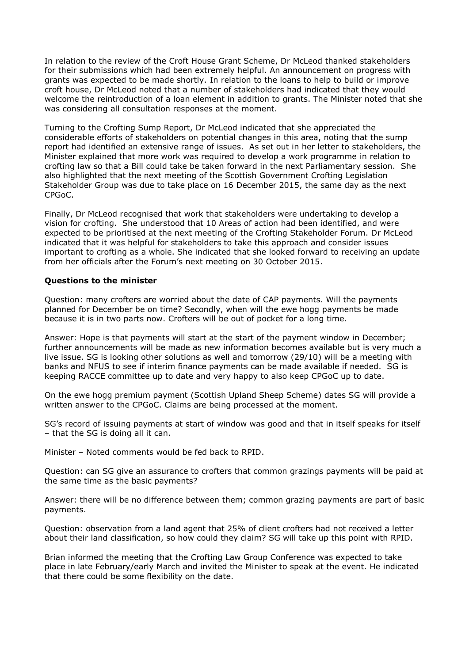In relation to the review of the Croft House Grant Scheme, Dr McLeod thanked stakeholders for their submissions which had been extremely helpful. An announcement on progress with grants was expected to be made shortly. In relation to the loans to help to build or improve croft house, Dr McLeod noted that a number of stakeholders had indicated that they would welcome the reintroduction of a loan element in addition to grants. The Minister noted that she was considering all consultation responses at the moment.

Turning to the Crofting Sump Report, Dr McLeod indicated that she appreciated the considerable efforts of stakeholders on potential changes in this area, noting that the sump report had identified an extensive range of issues. As set out in her letter to stakeholders, the Minister explained that more work was required to develop a work programme in relation to crofting law so that a Bill could take be taken forward in the next Parliamentary session. She also highlighted that the next meeting of the Scottish Government Crofting Legislation Stakeholder Group was due to take place on 16 December 2015, the same day as the next CPGoC.

Finally, Dr McLeod recognised that work that stakeholders were undertaking to develop a vision for crofting. She understood that 10 Areas of action had been identified, and were expected to be prioritised at the next meeting of the Crofting Stakeholder Forum. Dr McLeod indicated that it was helpful for stakeholders to take this approach and consider issues important to crofting as a whole. She indicated that she looked forward to receiving an update from her officials after the Forum's next meeting on 30 October 2015.

# **Questions to the minister**

Question: many crofters are worried about the date of CAP payments. Will the payments planned for December be on time? Secondly, when will the ewe hogg payments be made because it is in two parts now. Crofters will be out of pocket for a long time.

Answer: Hope is that payments will start at the start of the payment window in December; further announcements will be made as new information becomes available but is very much a live issue. SG is looking other solutions as well and tomorrow (29/10) will be a meeting with banks and NFUS to see if interim finance payments can be made available if needed. SG is keeping RACCE committee up to date and very happy to also keep CPGoC up to date.

On the ewe hogg premium payment (Scottish Upland Sheep Scheme) dates SG will provide a written answer to the CPGoC. Claims are being processed at the moment.

SG's record of issuing payments at start of window was good and that in itself speaks for itself – that the SG is doing all it can.

Minister – Noted comments would be fed back to RPID.

Question: can SG give an assurance to crofters that common grazings payments will be paid at the same time as the basic payments?

Answer: there will be no difference between them; common grazing payments are part of basic payments.

Question: observation from a land agent that 25% of client crofters had not received a letter about their land classification, so how could they claim? SG will take up this point with RPID.

Brian informed the meeting that the Crofting Law Group Conference was expected to take place in late February/early March and invited the Minister to speak at the event. He indicated that there could be some flexibility on the date.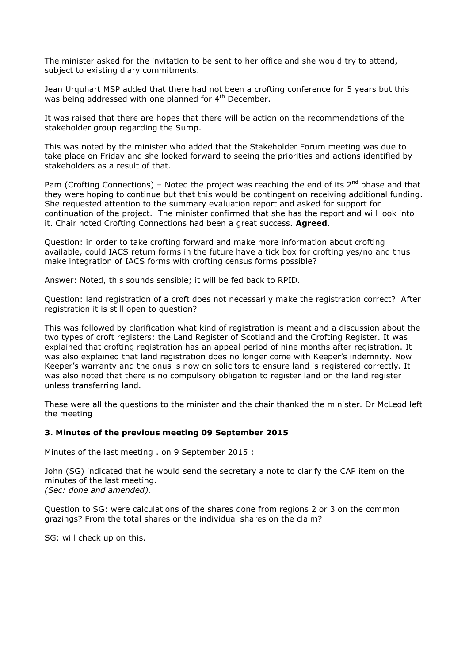The minister asked for the invitation to be sent to her office and she would try to attend, subject to existing diary commitments.

Jean Urquhart MSP added that there had not been a crofting conference for 5 years but this was being addressed with one planned for 4<sup>th</sup> December.

It was raised that there are hopes that there will be action on the recommendations of the stakeholder group regarding the Sump.

This was noted by the minister who added that the Stakeholder Forum meeting was due to take place on Friday and she looked forward to seeing the priorities and actions identified by stakeholders as a result of that.

Pam (Crofting Connections) – Noted the project was reaching the end of its  $2^{nd}$  phase and that they were hoping to continue but that this would be contingent on receiving additional funding. She requested attention to the summary evaluation report and asked for support for continuation of the project. The minister confirmed that she has the report and will look into it. Chair noted Crofting Connections had been a great success. **Agreed**.

Question: in order to take crofting forward and make more information about crofting available, could IACS return forms in the future have a tick box for crofting yes/no and thus make integration of IACS forms with crofting census forms possible?

Answer: Noted, this sounds sensible; it will be fed back to RPID.

Question: land registration of a croft does not necessarily make the registration correct? After registration it is still open to question?

This was followed by clarification what kind of registration is meant and a discussion about the two types of croft registers: the Land Register of Scotland and the Crofting Register. It was explained that crofting registration has an appeal period of nine months after registration. It was also explained that land registration does no longer come with Keeper's indemnity. Now Keeper's warranty and the onus is now on solicitors to ensure land is registered correctly. It was also noted that there is no compulsory obligation to register land on the land register unless transferring land.

These were all the questions to the minister and the chair thanked the minister. Dr McLeod left the meeting

### **3. Minutes of the previous meeting 09 September 2015**

Minutes of the last meeting . on 9 September 2015 :

John (SG) indicated that he would send the secretary a note to clarify the CAP item on the minutes of the last meeting. *(Sec: done and amended).*

Question to SG: were calculations of the shares done from regions 2 or 3 on the common grazings? From the total shares or the individual shares on the claim?

SG: will check up on this.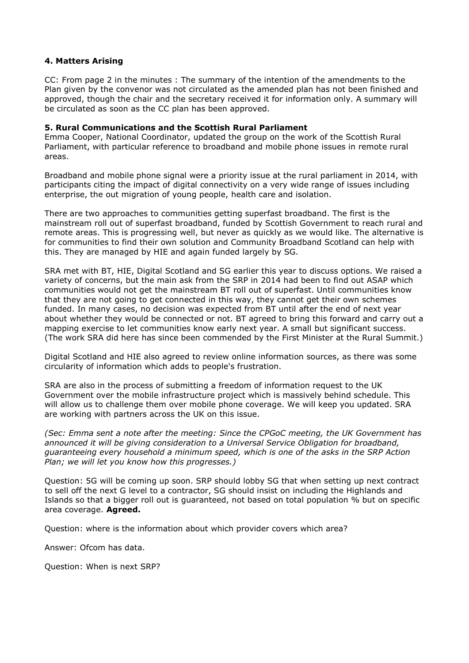# **4. Matters Arising**

CC: From page 2 in the minutes : The summary of the intention of the amendments to the Plan given by the convenor was not circulated as the amended plan has not been finished and approved, though the chair and the secretary received it for information only. A summary will be circulated as soon as the CC plan has been approved.

#### **5. Rural Communications and the Scottish Rural Parliament**

Emma Cooper, National Coordinator, updated the group on the work of the Scottish Rural Parliament, with particular reference to broadband and mobile phone issues in remote rural areas.

Broadband and mobile phone signal were a priority issue at the rural parliament in 2014, with participants citing the impact of digital connectivity on a very wide range of issues including enterprise, the out migration of young people, health care and isolation.

There are two approaches to communities getting superfast broadband. The first is the mainstream roll out of superfast broadband, funded by Scottish Government to reach rural and remote areas. This is progressing well, but never as quickly as we would like. The alternative is for communities to find their own solution and Community Broadband Scotland can help with this. They are managed by HIE and again funded largely by SG.

SRA met with BT, HIE, Digital Scotland and SG earlier this year to discuss options. We raised a variety of concerns, but the main ask from the SRP in 2014 had been to find out ASAP which communities would not get the mainstream BT roll out of superfast. Until communities know that they are not going to get connected in this way, they cannot get their own schemes funded. In many cases, no decision was expected from BT until after the end of next year about whether they would be connected or not. BT agreed to bring this forward and carry out a mapping exercise to let communities know early next year. A small but significant success. (The work SRA did here has since been commended by the First Minister at the Rural Summit.)

Digital Scotland and HIE also agreed to review online information sources, as there was some circularity of information which adds to people's frustration.

SRA are also in the process of submitting a freedom of information request to the UK Government over the mobile infrastructure project which is massively behind schedule. This will allow us to challenge them over mobile phone coverage. We will keep you updated. SRA are working with partners across the UK on this issue.

*(Sec: Emma sent a note after the meeting: Since the CPGoC meeting, the UK Government has announced it will be giving consideration to a Universal Service Obligation for broadband, guaranteeing every household a minimum speed, which is one of the asks in the SRP Action Plan; we will let you know how this progresses.)*

Question: 5G will be coming up soon. SRP should lobby SG that when setting up next contract to sell off the next G level to a contractor, SG should insist on including the Highlands and Islands so that a bigger roll out is guaranteed, not based on total population % but on specific area coverage. **Agreed.**

Question: where is the information about which provider covers which area?

Answer: Ofcom has data.

Question: When is next SRP?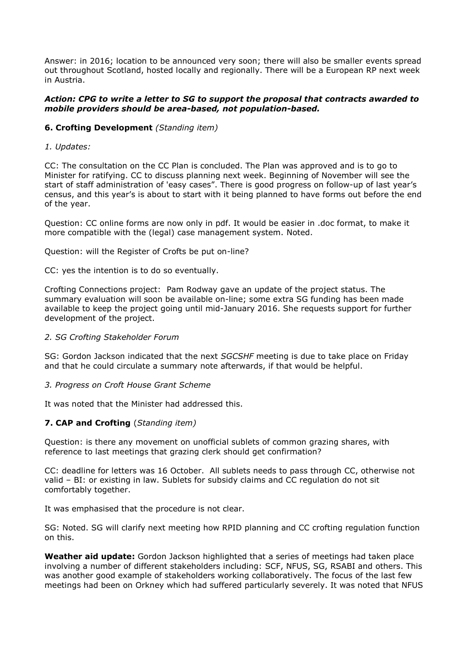Answer: in 2016; location to be announced very soon; there will also be smaller events spread out throughout Scotland, hosted locally and regionally. There will be a European RP next week in Austria.

### *Action: CPG to write a letter to SG to support the proposal that contracts awarded to mobile providers should be area-based, not population-based.*

## **6. Crofting Development** *(Standing item)*

#### *1. Updates:*

CC: The consultation on the CC Plan is concluded. The Plan was approved and is to go to Minister for ratifying. CC to discuss planning next week. Beginning of November will see the start of staff administration of 'easy cases". There is good progress on follow-up of last year's census, and this year's is about to start with it being planned to have forms out before the end of the year.

Question: CC online forms are now only in pdf. It would be easier in .doc format, to make it more compatible with the (legal) case management system. Noted.

Question: will the Register of Crofts be put on-line?

CC: yes the intention is to do so eventually.

Crofting Connections project: Pam Rodway gave an update of the project status. The summary evaluation will soon be available on-line; some extra SG funding has been made available to keep the project going until mid-January 2016. She requests support for further development of the project.

### *2. SG Crofting Stakeholder Forum*

SG: Gordon Jackson indicated that the next *SGCSHF* meeting is due to take place on Friday and that he could circulate a summary note afterwards, if that would be helpful.

#### *3. Progress on Croft House Grant Scheme*

It was noted that the Minister had addressed this.

### **7. CAP and Crofting** (*Standing item)*

Question: is there any movement on unofficial sublets of common grazing shares, with reference to last meetings that grazing clerk should get confirmation?

CC: deadline for letters was 16 October. All sublets needs to pass through CC, otherwise not valid – BI: or existing in law. Sublets for subsidy claims and CC regulation do not sit comfortably together.

It was emphasised that the procedure is not clear.

SG: Noted. SG will clarify next meeting how RPID planning and CC crofting regulation function on this.

**Weather aid update:** Gordon Jackson highlighted that a series of meetings had taken place involving a number of different stakeholders including: SCF, NFUS, SG, RSABI and others. This was another good example of stakeholders working collaboratively. The focus of the last few meetings had been on Orkney which had suffered particularly severely. It was noted that NFUS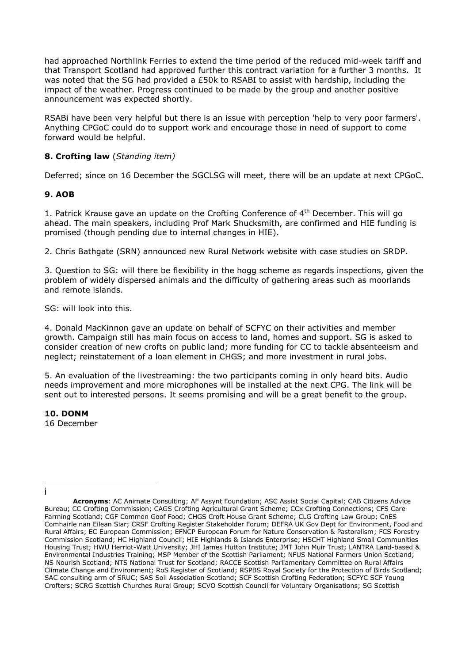had approached Northlink Ferries to extend the time period of the reduced mid-week tariff and that Transport Scotland had approved further this contract variation for a further 3 months. It was noted that the SG had provided a £50k to RSABI to assist with hardship, including the impact of the weather. Progress continued to be made by the group and another positive announcement was expected shortly.

RSABi have been very helpful but there is an issue with perception 'help to very poor farmers'. Anything CPGoC could do to support work and encourage those in need of support to come forward would be helpful.

# **8. Crofting law** (*Standing item)*

Deferred; since on 16 December the SGCLSG will meet, there will be an update at next CPGoC.

# **9. AOB**

1. Patrick Krause gave an update on the Crofting Conference of  $4<sup>th</sup>$  December. This will go ahead. The main speakers, including Prof Mark Shucksmith, are confirmed and HIE funding is promised (though pending due to internal changes in HIE).

2. Chris Bathgate (SRN) announced new Rural Network website with case studies on SRDP.

3. Question to SG: will there be flexibility in the hogg scheme as regards inspections, given the problem of widely dispersed animals and the difficulty of gathering areas such as moorlands and remote islands.

SG: will look into this.

4. Donald MacKinnon gave an update on behalf of SCFYC on their activities and member growth. Campaign still has main focus on access to land, homes and support. SG is asked to consider creation of new crofts on public land; more funding for CC to tackle absenteeism and neglect; reinstatement of a loan element in CHGS; and more investment in rural jobs.

5. An evaluation of the livestreaming: the two participants coming in only heard bits. Audio needs improvement and more microphones will be installed at the next CPG. The link will be sent out to interested persons. It seems promising and will be a great benefit to the group.

# **10. DONM**

16 December

<sup>1</sup> i

**Acronyms**: AC Animate Consulting; AF Assynt Foundation; ASC Assist Social Capital; CAB Citizens Advice Bureau; CC Crofting Commission; CAGS Crofting Agricultural Grant Scheme; CCx Crofting Connections; CFS Care Farming Scotland; CGF Common Goof Food; CHGS Croft House Grant Scheme; CLG Crofting Law Group; CnES Comhairle nan Eilean Siar; CRSF Crofting Register Stakeholder Forum; DEFRA UK Gov Dept for Environment, Food and Rural Affairs; EC European Commission; EFNCP European Forum for Nature Conservation & Pastoralism; FCS Forestry Commission Scotland; HC Highland Council; HIE Highlands & Islands Enterprise; HSCHT Highland Small Communities Housing Trust; HWU Herriot-Watt University; JHI James Hutton Institute; JMT John Muir Trust; LANTRA Land-based & Environmental Industries Training; MSP Member of the Scottish Parliament; NFUS National Farmers Union Scotland; NS Nourish Scotland; NTS National Trust for Scotland; RACCE Scottish Parliamentary Committee on Rural Affairs Climate Change and Environment; RoS Register of Scotland; RSPBS Royal Society for the Protection of Birds Scotland; SAC consulting arm of SRUC; SAS Soil Association Scotland; SCF Scottish Crofting Federation; SCFYC SCF Young Crofters; SCRG Scottish Churches Rural Group; SCVO Scottish Council for Voluntary Organisations; SG Scottish